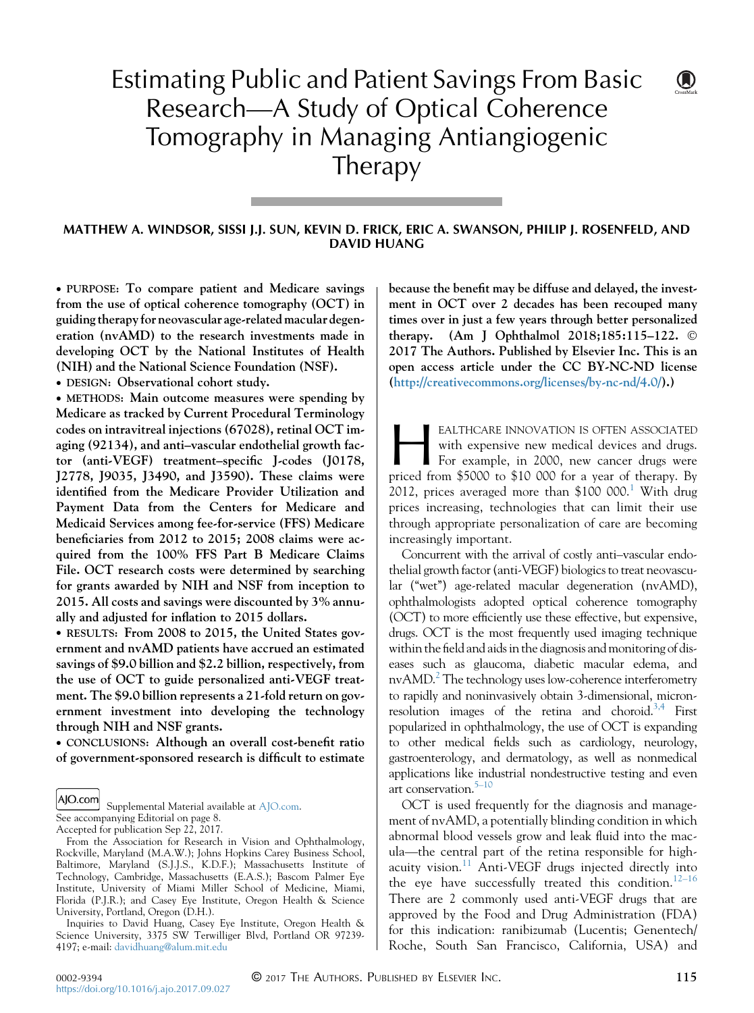# Estimating Public and Patient Savings From Basic Research—A Study of Optical Coherence Tomography in Managing Antiangiogenic Therapy

#### MATTHEW A. WINDSOR, SISSI J.J. SUN, KEVIN D. FRICK, ERIC A. SWANSON, PHILIP J. ROSENFELD, AND DAVID HUANG

 PURPOSE: To compare patient and Medicare savings from the use of optical coherence tomography (OCT) in guiding therapy for neovascular age-related macular degeneration (nvAMD) to the research investments made in developing OCT by the National Institutes of Health (NIH) and the National Science Foundation (NSF).

DESIGN: Observational cohort study.

 METHODS: Main outcome measures were spending by Medicare as tracked by Current Procedural Terminology codes on intravitreal injections (67028), retinal OCT imaging (92134), and anti–vascular endothelial growth factor (anti-VEGF) treatment–specific J-codes (J0178, J2778, J9035, J3490, and J3590). These claims were identified from the Medicare Provider Utilization and Payment Data from the Centers for Medicare and Medicaid Services among fee-for-service (FFS) Medicare beneficiaries from 2012 to 2015; 2008 claims were acquired from the 100% FFS Part B Medicare Claims File. OCT research costs were determined by searching for grants awarded by NIH and NSF from inception to 2015. All costs and savings were discounted by 3% annually and adjusted for inflation to 2015 dollars.

 RESULTS: From 2008 to 2015, the United States government and nvAMD patients have accrued an estimated savings of \$9.0 billion and \$2.2 billion, respectively, from the use of OCT to guide personalized anti-VEGF treatment. The \$9.0 billion represents a 21-fold return on government investment into developing the technology through NIH and NSF grants.

• CONCLUSIONS: Although an overall cost-benefit ratio of government-sponsored research is difficult to estimate

AJO.com Supplemental Material available at [AJO.com.](http://AJO.com)

See accompanying Editorial on page 8. Accepted for publication Sep 22, 2017.

Inquiries to David Huang, Casey Eye Institute, Oregon Health & Science University, 3375 SW Terwilliger Blvd, Portland OR 97239-4197; e-mail: [davidhuang@alum.mit.edu](mailto:davidhuang@alum.mit.edu)

because the benefit may be diffuse and delayed, the investment in OCT over 2 decades has been recouped many times over in just a few years through better personalized therapy. (Am J Ophthalmol 2018;185:115–122. 2017 The Authors. Published by Elsevier Inc. This is an open access article under the CC BY-NC-ND license [\(http://creativecommons.org/licenses/by-nc-nd/4.0/](http://creativecommons.org/licenses/by-nc-nd/4.0/)).)

EALTHCARE INNOVATION IS OFTEN ASSOCIATED<br>with expensive new medical devices and drugs.<br>For example, in 2000, new cancer drugs were<br>priced from \$5000 to \$10 000 for a year of therapy. By with expensive new medical devices and drugs. For example, in 2000, new cancer drugs were priced from \$5000 to \$10 000 for a year of therapy. By 20[1](#page-5-0)2, prices averaged more than  $$100 000$ .<sup>1</sup> With drug prices increasing, technologies that can limit their use through appropriate personalization of care are becoming increasingly important.

Concurrent with the arrival of costly anti–vascular endothelial growth factor (anti-VEGF) biologics to treat neovascular (''wet'') age-related macular degeneration (nvAMD), ophthalmologists adopted optical coherence tomography (OCT) to more efficiently use these effective, but expensive, drugs. OCT is the most frequently used imaging technique within the field and aidsin the diagnosis and monitoring of diseases such as glaucoma, diabetic macular edema, and  $nvAMD.^2$  The technology uses low-coherence interferometry to rapidly and noninvasively obtain 3-dimensional, micronresolution images of the retina and choroid.<sup>3,4</sup> First popularized in ophthalmology, the use of OCT is expanding to other medical fields such as cardiology, neurology, gastroenterology, and dermatology, as well as nonmedical applications like industrial nondestructive testing and even art conservation.<sup>5–10</sup>

OCT is used frequently for the diagnosis and management of nvAMD, a potentially blinding condition in which abnormal blood vessels grow and leak fluid into the macula—the central part of the retina responsible for high-acuity vision.<sup>[11](#page-6-0)</sup> Anti-VEGF drugs injected directly into the eye have successfully treated this condition.<sup>[12–16](#page-6-0)</sup> There are 2 commonly used anti-VEGF drugs that are approved by the Food and Drug Administration (FDA) for this indication: ranibizumab (Lucentis; Genentech/ Roche, South San Francisco, California, USA) and

 $\bigcirc$ 

From the Association for Research in Vision and Ophthalmology, Rockville, Maryland (M.A.W.); Johns Hopkins Carey Business School, Baltimore, Maryland (S.J.J.S., K.D.F.); Massachusetts Institute of Technology, Cambridge, Massachusetts (E.A.S.); Bascom Palmer Eye Institute, University of Miami Miller School of Medicine, Miami, Florida (P.J.R.); and Casey Eye Institute, Oregon Health & Science University, Portland, Oregon (D.H.).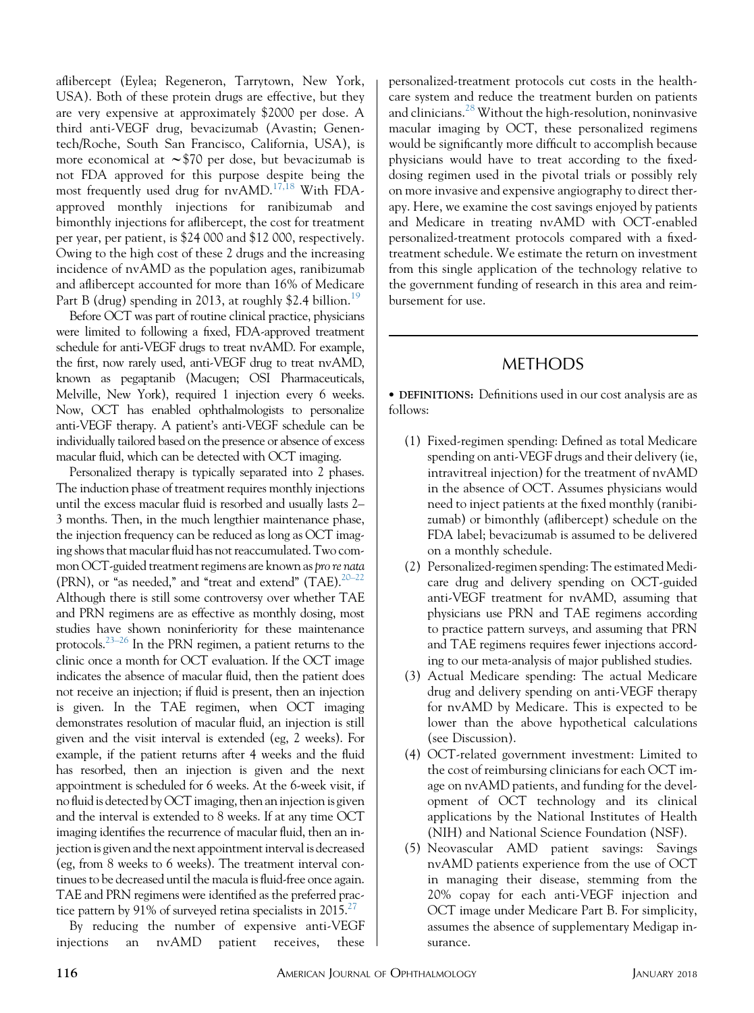aflibercept (Eylea; Regeneron, Tarrytown, New York, USA). Both of these protein drugs are effective, but they are very expensive at approximately \$2000 per dose. A third anti-VEGF drug, bevacizumab (Avastin; Genentech/Roche, South San Francisco, California, USA), is more economical at  $\sim$ \$70 per dose, but bevacizumab is not FDA approved for this purpose despite being the most frequently used drug for nvAMD.[17,18](#page-6-0) With FDAapproved monthly injections for ranibizumab and bimonthly injections for aflibercept, the cost for treatment per year, per patient, is \$24 000 and \$12 000, respectively. Owing to the high cost of these 2 drugs and the increasing incidence of nvAMD as the population ages, ranibizumab and aflibercept accounted for more than 16% of Medicare Part B (drug) spending in 2013, at roughly \$2.4 billion.<sup>[19](#page-6-0)</sup>

Before OCT was part of routine clinical practice, physicians were limited to following a fixed, FDA-approved treatment schedule for anti-VEGF drugs to treat nvAMD. For example, the first, now rarely used, anti-VEGF drug to treat nvAMD, known as pegaptanib (Macugen; OSI Pharmaceuticals, Melville, New York), required 1 injection every 6 weeks. Now, OCT has enabled ophthalmologists to personalize anti-VEGF therapy. A patient's anti-VEGF schedule can be individually tailored based on the presence or absence of excess macular fluid, which can be detected with OCT imaging.

Personalized therapy is typically separated into 2 phases. The induction phase of treatment requires monthly injections until the excess macular fluid is resorbed and usually lasts 2– 3 months. Then, in the much lengthier maintenance phase, the injection frequency can be reduced as long as OCT imaging shows that macular fluid has not reaccumulated. Two common OCT-guided treatment regimens are known as pro re nata (PRN), or "as needed," and "treat and extend"  $(TAE).^{20-22}$ Although there is still some controversy over whether TAE and PRN regimens are as effective as monthly dosing, most studies have shown noninferiority for these maintenance protocols.<sup>[23–26](#page-6-0)</sup> In the PRN regimen, a patient returns to the clinic once a month for OCT evaluation. If the OCT image indicates the absence of macular fluid, then the patient does not receive an injection; if fluid is present, then an injection is given. In the TAE regimen, when OCT imaging demonstrates resolution of macular fluid, an injection is still given and the visit interval is extended (eg, 2 weeks). For example, if the patient returns after 4 weeks and the fluid has resorbed, then an injection is given and the next appointment is scheduled for 6 weeks. At the 6-week visit, if no fluid is detected by OCT imaging, then an injection is given and the interval is extended to 8 weeks. If at any time OCT imaging identifies the recurrence of macular fluid, then an injection is given and the next appointment interval is decreased (eg, from 8 weeks to 6 weeks). The treatment interval continues to be decreased until the macula is fluid-free once again. TAE and PRN regimens were identified as the preferred practice pattern by 91% of surveyed retina specialists in  $2015<sup>27</sup>$  $2015<sup>27</sup>$  $2015<sup>27</sup>$ 

By reducing the number of expensive anti-VEGF injections an nvAMD patient receives, these

personalized-treatment protocols cut costs in the healthcare system and reduce the treatment burden on patients and clinicians.<sup>[28](#page-6-0)</sup> Without the high-resolution, noninvasive macular imaging by OCT, these personalized regimens would be significantly more difficult to accomplish because physicians would have to treat according to the fixeddosing regimen used in the pivotal trials or possibly rely on more invasive and expensive angiography to direct therapy. Here, we examine the cost savings enjoyed by patients and Medicare in treating nvAMD with OCT-enabled personalized-treatment protocols compared with a fixedtreatment schedule. We estimate the return on investment from this single application of the technology relative to the government funding of research in this area and reimbursement for use.

## **METHODS**

 DEFINITIONS: Definitions used in our cost analysis are as follows:

- (1) Fixed-regimen spending: Defined as total Medicare spending on anti-VEGF drugs and their delivery (ie, intravitreal injection) for the treatment of nvAMD in the absence of OCT. Assumes physicians would need to inject patients at the fixed monthly (ranibizumab) or bimonthly (aflibercept) schedule on the FDA label; bevacizumab is assumed to be delivered on a monthly schedule.
- (2) Personalized-regimen spending: The estimated Medicare drug and delivery spending on OCT-guided anti-VEGF treatment for nvAMD, assuming that physicians use PRN and TAE regimens according to practice pattern surveys, and assuming that PRN and TAE regimens requires fewer injections according to our meta-analysis of major published studies.
- (3) Actual Medicare spending: The actual Medicare drug and delivery spending on anti-VEGF therapy for nvAMD by Medicare. This is expected to be lower than the above hypothetical calculations (see Discussion).
- (4) OCT-related government investment: Limited to the cost of reimbursing clinicians for each OCT image on nvAMD patients, and funding for the development of OCT technology and its clinical applications by the National Institutes of Health (NIH) and National Science Foundation (NSF).
- (5) Neovascular AMD patient savings: Savings nvAMD patients experience from the use of OCT in managing their disease, stemming from the 20% copay for each anti-VEGF injection and OCT image under Medicare Part B. For simplicity, assumes the absence of supplementary Medigap insurance.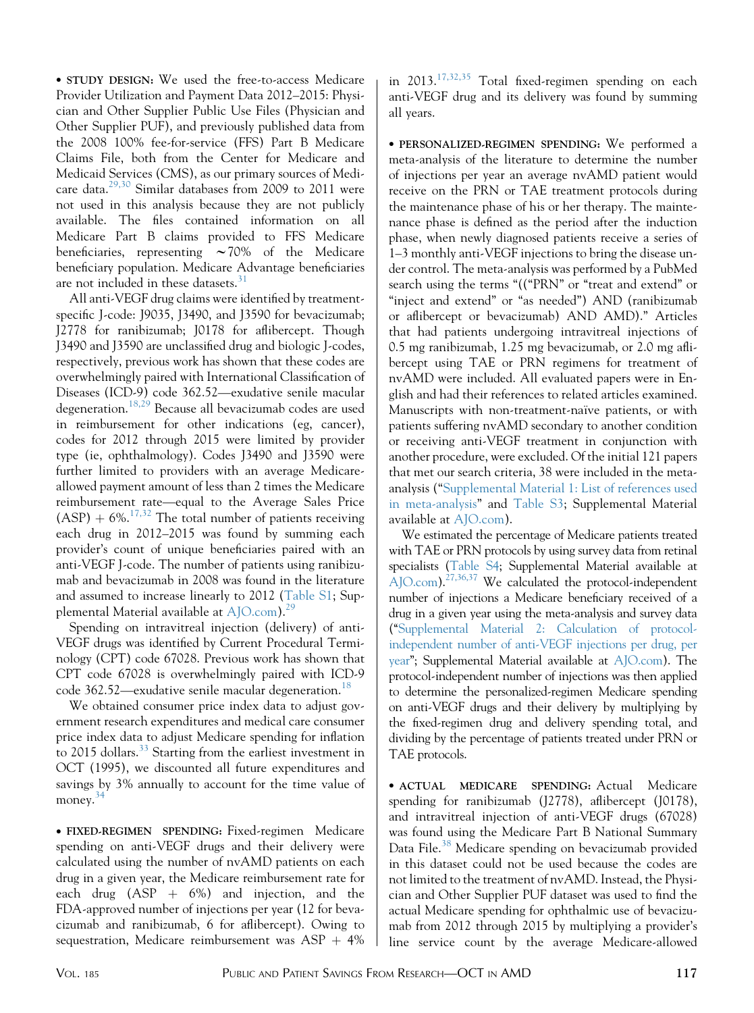STUDY DESIGN: We used the free-to-access Medicare Provider Utilization and Payment Data 2012–2015: Physician and Other Supplier Public Use Files (Physician and Other Supplier PUF), and previously published data from the 2008 100% fee-for-service (FFS) Part B Medicare Claims File, both from the Center for Medicare and Medicaid Services (CMS), as our primary sources of Medicare data.[29,30](#page-6-0) Similar databases from 2009 to 2011 were not used in this analysis because they are not publicly available. The files contained information on all Medicare Part B claims provided to FFS Medicare beneficiaries, representing  $\sim$  70% of the Medicare beneficiary population. Medicare Advantage beneficiaries are not included in these datasets.<sup>[31](#page-6-0)</sup>

All anti-VEGF drug claims were identified by treatmentspecific J-code: J9035, J3490, and J3590 for bevacizumab; J2778 for ranibizumab; J0178 for aflibercept. Though J3490 and J3590 are unclassified drug and biologic J-codes, respectively, previous work has shown that these codes are overwhelmingly paired with International Classification of Diseases (ICD-9) code 362.52—exudative senile macular degeneration.[18,29](#page-6-0) Because all bevacizumab codes are used in reimbursement for other indications (eg, cancer), codes for 2012 through 2015 were limited by provider type (ie, ophthalmology). Codes J3490 and J3590 were further limited to providers with an average Medicareallowed payment amount of less than 2 times the Medicare reimbursement rate—equal to the Average Sales Price  $(ASP) + 6\%.$ <sup>17,32</sup> The total number of patients receiving each drug in 2012–2015 was found by summing each provider's count of unique beneficiaries paired with an anti-VEGF J-code. The number of patients using ranibizumab and bevacizumab in 2008 was found in the literature and assumed to increase linearly to 2012 (Table S1; Supplemental Material available at  $A$ JO.com).<sup>[29](#page-6-0)</sup>

Spending on intravitreal injection (delivery) of anti-VEGF drugs was identified by Current Procedural Terminology (CPT) code 67028. Previous work has shown that CPT code 67028 is overwhelmingly paired with ICD-9 code 362.52—exudative senile macular degeneration.<sup>[18](#page-6-0)</sup>

We obtained consumer price index data to adjust government research expenditures and medical care consumer price index data to adjust Medicare spending for inflation to 2015 dollars.<sup>[33](#page-6-0)</sup> Starting from the earliest investment in OCT (1995), we discounted all future expenditures and savings by 3% annually to account for the time value of money.<sup>[34](#page-6-0)</sup>

 FIXED-REGIMEN SPENDING: Fixed-regimen Medicare spending on anti-VEGF drugs and their delivery were calculated using the number of nvAMD patients on each drug in a given year, the Medicare reimbursement rate for each drug  $(ASP + 6\%)$  and injection, and the FDA-approved number of injections per year (12 for bevacizumab and ranibizumab, 6 for aflibercept). Owing to sequestration, Medicare reimbursement was  $ASP + 4%$ 

in 2013.[17,32,35](#page-6-0) Total fixed-regimen spending on each anti-VEGF drug and its delivery was found by summing all years.

 PERSONALIZED-REGIMEN SPENDING: We performed a meta-analysis of the literature to determine the number of injections per year an average nvAMD patient would receive on the PRN or TAE treatment protocols during the maintenance phase of his or her therapy. The maintenance phase is defined as the period after the induction phase, when newly diagnosed patients receive a series of 1–3 monthly anti-VEGF injections to bring the disease under control. The meta-analysis was performed by a PubMed search using the terms "(("PRN" or "treat and extend" or "inject and extend" or "as needed") AND (ranibizumab or aflibercept or bevacizumab) AND AMD).'' Articles that had patients undergoing intravitreal injections of 0.5 mg ranibizumab, 1.25 mg bevacizumab, or 2.0 mg aflibercept using TAE or PRN regimens for treatment of nvAMD were included. All evaluated papers were in English and had their references to related articles examined. Manuscripts with non-treatment-naïve patients, or with patients suffering nvAMD secondary to another condition or receiving anti-VEGF treatment in conjunction with another procedure, were excluded. Of the initial 121 papers that met our search criteria, 38 were included in the metaanalysis (''Supplemental Material 1: List of references used in meta-analysis'' and Table S3; Supplemental Material available at [AJO.com\)](http://AJO.com).

We estimated the percentage of Medicare patients treated with TAE or PRN protocols by using survey data from retinal specialists (Table S4; Supplemental Material available at  $\widehat{A}$ JO.com).<sup>27,36,37</sup> We calculated the protocol-independent number of injections a Medicare beneficiary received of a drug in a given year using the meta-analysis and survey data (''Supplemental Material 2: Calculation of protocolindependent number of anti-VEGF injections per drug, per year''; Supplemental Material available at [AJO.com\)](http://AJO.com). The protocol-independent number of injections was then applied to determine the personalized-regimen Medicare spending on anti-VEGF drugs and their delivery by multiplying by the fixed-regimen drug and delivery spending total, and dividing by the percentage of patients treated under PRN or TAE protocols.

 ACTUAL MEDICARE SPENDING: Actual Medicare spending for ranibizumab (J2778), aflibercept (J0178), and intravitreal injection of anti-VEGF drugs (67028) was found using the Medicare Part B National Summary Data File.<sup>[38](#page-6-0)</sup> Medicare spending on bevacizumab provided in this dataset could not be used because the codes are not limited to the treatment of nvAMD. Instead, the Physician and Other Supplier PUF dataset was used to find the actual Medicare spending for ophthalmic use of bevacizumab from 2012 through 2015 by multiplying a provider's line service count by the average Medicare-allowed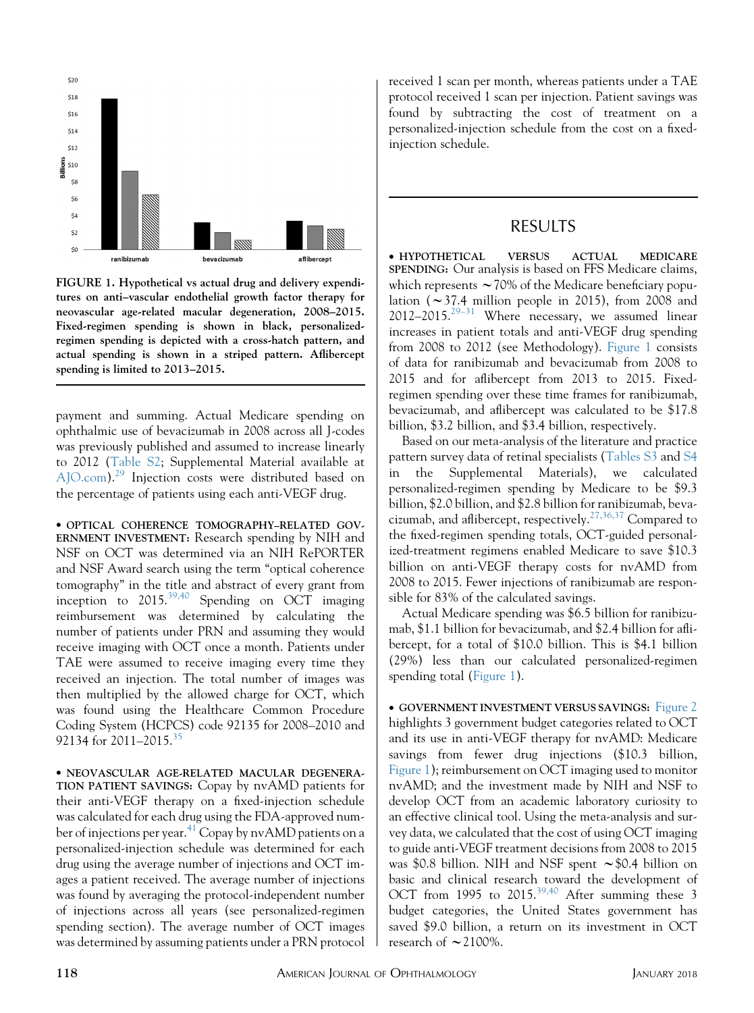

FIGURE 1. Hypothetical vs actual drug and delivery expenditures on anti–vascular endothelial growth factor therapy for neovascular age-related macular degeneration, 2008–2015. Fixed-regimen spending is shown in black, personalizedregimen spending is depicted with a cross-hatch pattern, and actual spending is shown in a striped pattern. Aflibercept spending is limited to 2013–2015.

payment and summing. Actual Medicare spending on ophthalmic use of bevacizumab in 2008 across all J-codes was previously published and assumed to increase linearly to 2012 (Table S2; Supplemental Material available at [AJO.com\)](http://AJO.com).[29](#page-6-0) Injection costs were distributed based on the percentage of patients using each anti-VEGF drug.

 OPTICAL COHERENCE TOMOGRAPHY–RELATED GOV-ERNMENT INVESTMENT: Research spending by NIH and NSF on OCT was determined via an NIH RePORTER and NSF Award search using the term ''optical coherence tomography'' in the title and abstract of every grant from inception to 2015.[39,40](#page-7-0) Spending on OCT imaging reimbursement was determined by calculating the number of patients under PRN and assuming they would receive imaging with OCT once a month. Patients under TAE were assumed to receive imaging every time they received an injection. The total number of images was then multiplied by the allowed charge for OCT, which was found using the Healthcare Common Procedure Coding System (HCPCS) code 92135 for 2008–2010 and 92134 for 2011–2015.<sup>[35](#page-6-0)</sup>

 NEOVASCULAR AGE-RELATED MACULAR DEGENERA-TION PATIENT SAVINGS: Copay by nvAMD patients for their anti-VEGF therapy on a fixed-injection schedule was calculated for each drug using the FDA-approved num-ber of injections per year.<sup>[41](#page-7-0)</sup> Copay by nvAMD patients on a personalized-injection schedule was determined for each drug using the average number of injections and OCT images a patient received. The average number of injections was found by averaging the protocol-independent number of injections across all years (see personalized-regimen spending section). The average number of OCT images was determined by assuming patients under a PRN protocol received 1 scan per month, whereas patients under a TAE protocol received 1 scan per injection. Patient savings was found by subtracting the cost of treatment on a personalized-injection schedule from the cost on a fixedinjection schedule.

### RESULTS

 HYPOTHETICAL VERSUS ACTUAL MEDICARE SPENDING: Our analysis is based on FFS Medicare claims, which represents  $\sim$  70% of the Medicare beneficiary population ( $\sim$ 37.4 million people in 2015), from 2008 and 2012–2015.<sup>[29–31](#page-6-0)</sup> Where necessary, we assumed linear increases in patient totals and anti-VEGF drug spending from 2008 to 2012 (see Methodology). Figure 1 consists of data for ranibizumab and bevacizumab from 2008 to 2015 and for aflibercept from 2013 to 2015. Fixedregimen spending over these time frames for ranibizumab, bevacizumab, and aflibercept was calculated to be \$17.8 billion, \$3.2 billion, and \$3.4 billion, respectively.

Based on our meta-analysis of the literature and practice pattern survey data of retinal specialists (Tables S3 and S4 in the Supplemental Materials), we calculated personalized-regimen spending by Medicare to be \$9.3 billion, \$2.0 billion, and \$2.8 billion for ranibizumab, beva-cizumab, and aflibercept, respectively.<sup>[27,36,37](#page-6-0)</sup> Compared to the fixed-regimen spending totals, OCT-guided personalized-treatment regimens enabled Medicare to save \$10.3 billion on anti-VEGF therapy costs for nvAMD from 2008 to 2015. Fewer injections of ranibizumab are responsible for 83% of the calculated savings.

Actual Medicare spending was \$6.5 billion for ranibizumab, \$1.1 billion for bevacizumab, and \$2.4 billion for aflibercept, for a total of \$10.0 billion. This is \$4.1 billion (29%) less than our calculated personalized-regimen spending total (Figure 1).

 GOVERNMENT INVESTMENT VERSUS SAVINGS: [Figure 2](#page-4-0) highlights 3 government budget categories related to OCT and its use in anti-VEGF therapy for nvAMD: Medicare savings from fewer drug injections (\$10.3 billion, Figure 1); reimbursement on OCT imaging used to monitor nvAMD; and the investment made by NIH and NSF to develop OCT from an academic laboratory curiosity to an effective clinical tool. Using the meta-analysis and survey data, we calculated that the cost of using OCT imaging to guide anti-VEGF treatment decisions from 2008 to 2015 was \$0.8 billion. NIH and NSF spent  $\sim$  \$0.4 billion on basic and clinical research toward the development of OCT from 1995 to 2015.<sup>[39,40](#page-7-0)</sup> After summing these 3 budget categories, the United States government has saved \$9.0 billion, a return on its investment in OCT research of  $\sim$  2100%.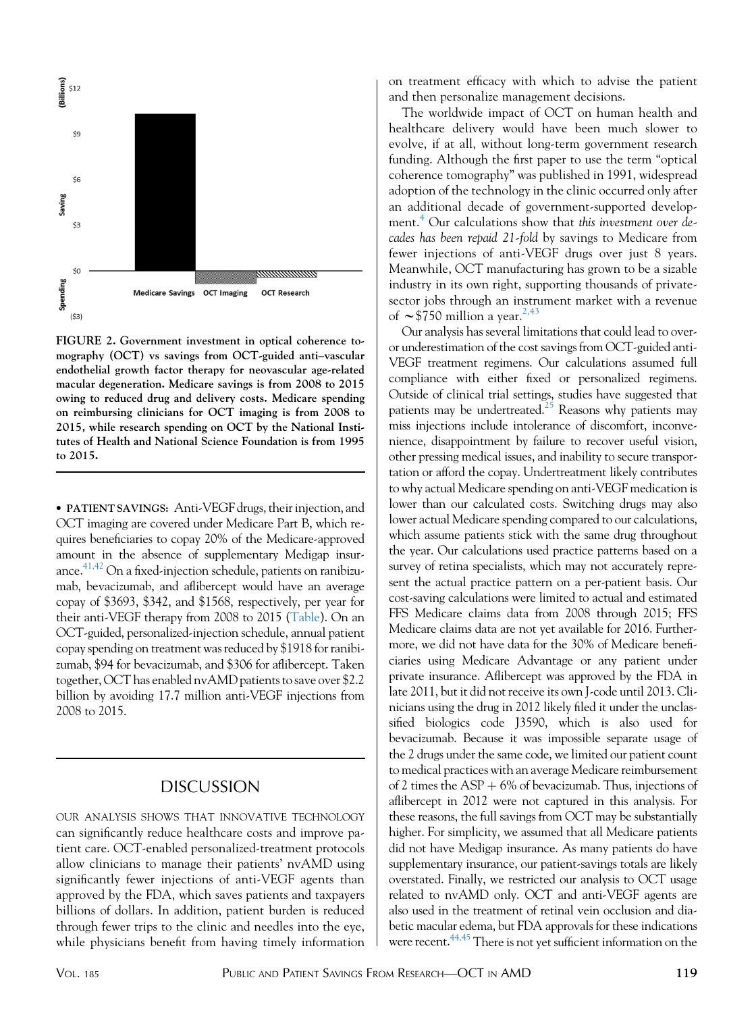<span id="page-4-0"></span>

FIGURE 2. Government investment in optical coherence tomography (OCT) vs savings from OCT-guided anti–vascular endothelial growth factor therapy for neovascular age-related macular degeneration. Medicare savings is from 2008 to 2015 owing to reduced drug and delivery costs. Medicare spending on reimbursing clinicians for OCT imaging is from 2008 to 2015, while research spending on OCT by the National Institutes of Health and National Science Foundation is from 1995 to 2015.

 PATIENT SAVINGS: Anti-VEGF drugs, their injection, and OCT imaging are covered under Medicare Part B, which requires beneficiaries to copay 20% of the Medicare-approved amount in the absence of supplementary Medigap insurance. $41,42$  On a fixed-injection schedule, patients on ranibizumab, bevacizumab, and aflibercept would have an average copay of \$3693, \$342, and \$1568, respectively, per year for their anti-VEGF therapy from 2008 to 2015 [\(Table](#page-5-0)). On an OCT-guided, personalized-injection schedule, annual patient copay spending on treatment was reduced by \$1918 for ranibizumab, \$94 for bevacizumab, and \$306 for aflibercept. Taken together, OCT has enabled nvAMD patients to save over \$2.2 billion by avoiding 17.7 million anti-VEGF injections from 2008 to 2015.

### DISCUSSION

OUR ANALYSIS SHOWS THAT INNOVATIVE TECHNOLOGY can significantly reduce healthcare costs and improve patient care. OCT-enabled personalized-treatment protocols allow clinicians to manage their patients' nvAMD using significantly fewer injections of anti-VEGF agents than approved by the FDA, which saves patients and taxpayers billions of dollars. In addition, patient burden is reduced through fewer trips to the clinic and needles into the eye, while physicians benefit from having timely information on treatment efficacy with which to advise the patient and then personalize management decisions.

The worldwide impact of OCT on human health and healthcare delivery would have been much slower to evolve, if at all, without long-term government research funding. Although the first paper to use the term ''optical coherence tomography'' was published in 1991, widespread adoption of the technology in the clinic occurred only after an additional decade of government-supported develop-ment.<sup>[4](#page-5-0)</sup> Our calculations show that this investment over decades has been repaid 21-fold by savings to Medicare from fewer injections of anti-VEGF drugs over just 8 years. Meanwhile, OCT manufacturing has grown to be a sizable industry in its own right, supporting thousands of privatesector jobs through an instrument market with a revenue of  $\sim$  \$750 million a year.<sup>[2,43](#page-5-0)</sup>

Our analysis has several limitations that could lead to overor underestimation of the cost savings from OCT-guided anti-VEGF treatment regimens. Our calculations assumed full compliance with either fixed or personalized regimens. Outside of clinical trial settings, studies have suggested that patients may be undertreated.<sup>25</sup> Reasons why patients may miss injections include intolerance of discomfort, inconvenience, disappointment by failure to recover useful vision, other pressing medical issues, and inability to secure transportation or afford the copay. Undertreatment likely contributes to why actual Medicare spending on anti-VEGF medication is lower than our calculated costs. Switching drugs may also lower actual Medicare spending compared to our calculations, which assume patients stick with the same drug throughout the year. Our calculations used practice patterns based on a survey of retina specialists, which may not accurately represent the actual practice pattern on a per-patient basis. Our cost-saving calculations were limited to actual and estimated FFS Medicare claims data from 2008 through 2015; FFS Medicare claims data are not yet available for 2016. Furthermore, we did not have data for the 30% of Medicare beneficiaries using Medicare Advantage or any patient under private insurance. Aflibercept was approved by the FDA in late 2011, but it did not receive its own J-code until 2013. Clinicians using the drug in 2012 likely filed it under the unclassified biologics code J3590, which is also used for bevacizumab. Because it was impossible separate usage of the 2 drugs under the same code, we limited our patient count to medical practices with an average Medicare reimbursement of 2 times the  $ASP + 6\%$  of bevacizumab. Thus, injections of aflibercept in 2012 were not captured in this analysis. For these reasons, the full savings from OCT may be substantially higher. For simplicity, we assumed that all Medicare patients did not have Medigap insurance. As many patients do have supplementary insurance, our patient-savings totals are likely overstated. Finally, we restricted our analysis to OCT usage related to nvAMD only. OCT and anti-VEGF agents are also used in the treatment of retinal vein occlusion and diabetic macular edema, but FDA approvals for these indications were recent.<sup>44,45</sup> There is not vet sufficient information on the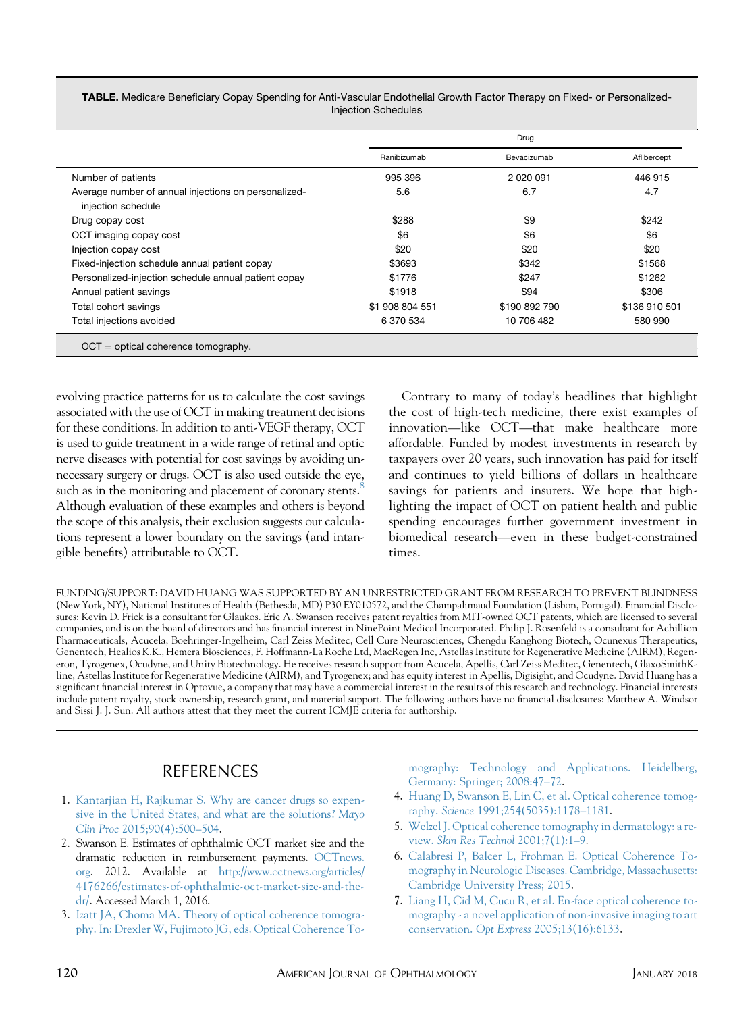<span id="page-5-0"></span>

| <b>TABLE.</b> Medicare Beneficiary Copay Spending for Anti-Vascular Endothelial Growth Factor Therapy on Fixed- or Personalized- |
|----------------------------------------------------------------------------------------------------------------------------------|
| Injection Schedules                                                                                                              |

|                                                                            | Drug            |               |               |
|----------------------------------------------------------------------------|-----------------|---------------|---------------|
|                                                                            | Ranibizumab     | Bevacizumab   | Aflibercept   |
| Number of patients                                                         | 995 396         | 2 020 091     | 446 915       |
| Average number of annual injections on personalized-<br>injection schedule | 5.6             | 6.7           | 4.7           |
| Drug copay cost                                                            | \$288           | \$9           | \$242         |
| OCT imaging copay cost                                                     | \$6             | \$6           | \$6           |
| Injection copay cost                                                       | \$20            | \$20          | \$20          |
| Fixed-injection schedule annual patient copay                              | \$3693          | \$342         | \$1568        |
| Personalized-injection schedule annual patient copay                       | \$1776          | \$247         | \$1262        |
| Annual patient savings                                                     | \$1918          | \$94          | \$306         |
| Total cohort savings                                                       | \$1 908 804 551 | \$190 892 790 | \$136 910 501 |
| Total injections avoided                                                   | 6 370 534       | 10 706 482    | 580 990       |

evolving practice patterns for us to calculate the cost savings associated with the use of OCT in making treatment decisions for these conditions. In addition to anti-VEGF therapy, OCT is used to guide treatment in a wide range of retinal and optic nerve diseases with potential for cost savings by avoiding unnecessary surgery or drugs. OCT is also used outside the eye, such as in the monitoring and placement of coronary stents. $8$ Although evaluation of these examples and others is beyond the scope of this analysis, their exclusion suggests our calculations represent a lower boundary on the savings (and intangible benefits) attributable to OCT.

Contrary to many of today's headlines that highlight the cost of high-tech medicine, there exist examples of innovation—like OCT—that make healthcare more affordable. Funded by modest investments in research by taxpayers over 20 years, such innovation has paid for itself and continues to yield billions of dollars in healthcare savings for patients and insurers. We hope that highlighting the impact of OCT on patient health and public spending encourages further government investment in biomedical research—even in these budget-constrained times.

FUNDING/SUPPORT: DAVID HUANG WAS SUPPORTED BY AN UNRESTRICTED GRANT FROM RESEARCH TO PREVENT BLINDNESS (New York, NY), National Institutes of Health (Bethesda, MD) P30 EY010572, and the Champalimaud Foundation (Lisbon, Portugal). Financial Disclosures: Kevin D. Frick is a consultant for Glaukos. Eric A. Swanson receives patent royalties from MIT-owned OCT patents, which are licensed to several companies, and is on the board of directors and has financial interest in NinePoint Medical Incorporated. Philip J. Rosenfeld is a consultant for Achillion Pharmaceuticals, Acucela, Boehringer-Ingelheim, Carl Zeiss Meditec, Cell Cure Neurosciences, Chengdu Kanghong Biotech, Ocunexus Therapeutics, Genentech, Healios K.K., Hemera Biosciences, F. Hoffmann-La Roche Ltd, MacRegen Inc, Astellas Institute for Regenerative Medicine (AIRM), Regeneron, Tyrogenex, Ocudyne, and Unity Biotechnology. He receives research support from Acucela, Apellis, Carl Zeiss Meditec, Genentech, GlaxoSmithKline, Astellas Institute for Regenerative Medicine (AIRM), and Tyrogenex; and has equity interest in Apellis, Digisight, and Ocudyne. David Huang has a significant financial interest in Optovue, a company that may have a commercial interest in the results of this research and technology. Financial interests include patent royalty, stock ownership, research grant, and material support. The following authors have no financial disclosures: Matthew A. Windsor and Sissi J. J. Sun. All authors attest that they meet the current ICMJE criteria for authorship.

## REFERENCES

- 1. [Kantarjian H, Rajkumar S. Why are cancer drugs so expen](http://refhub.elsevier.com/S0002-9394(17)30419-1/sref1)[sive in the United States, and what are the solutions?](http://refhub.elsevier.com/S0002-9394(17)30419-1/sref1) Mayo Clin Proc [2015;90\(4\):500–504.](http://refhub.elsevier.com/S0002-9394(17)30419-1/sref1)
- 2. Swanson E. Estimates of ophthalmic OCT market size and the dramatic reduction in reimbursement payments. [OCTnews.](http://OCTnews.org) [org](http://OCTnews.org). 2012. Available at [http://www.octnews.org/articles/](http://www.octnews.org/articles/4176266/estimates-of-ophthalmic-oct-market-size-and-the-dr/) [4176266/estimates-of-ophthalmic-oct-market-size-and-the](http://www.octnews.org/articles/4176266/estimates-of-ophthalmic-oct-market-size-and-the-dr/)[dr/](http://www.octnews.org/articles/4176266/estimates-of-ophthalmic-oct-market-size-and-the-dr/). Accessed March 1, 2016.
- 3. [Izatt JA, Choma MA. Theory of optical coherence tomogra](http://refhub.elsevier.com/S0002-9394(17)30419-1/sref3)[phy. In: Drexler W, Fujimoto JG, eds. Optical Coherence To-](http://refhub.elsevier.com/S0002-9394(17)30419-1/sref3)

[mography: Technology and Applications. Heidelberg,](http://refhub.elsevier.com/S0002-9394(17)30419-1/sref3) [Germany: Springer; 2008:47–72](http://refhub.elsevier.com/S0002-9394(17)30419-1/sref3).

- 4. [Huang D, Swanson E, Lin C, et al. Optical coherence tomog](http://refhub.elsevier.com/S0002-9394(17)30419-1/sref4)raphy. Science [1991;254\(5035\):1178–1181.](http://refhub.elsevier.com/S0002-9394(17)30419-1/sref4)
- 5. [Welzel J. Optical coherence tomography in dermatology: a re](http://refhub.elsevier.com/S0002-9394(17)30419-1/sref5)view. [Skin Res Technol](http://refhub.elsevier.com/S0002-9394(17)30419-1/sref5) 2001;7(1):1–9.
- 6. [Calabresi P, Balcer L, Frohman E. Optical Coherence To](http://refhub.elsevier.com/S0002-9394(17)30419-1/sref6)[mography in Neurologic Diseases. Cambridge, Massachusetts:](http://refhub.elsevier.com/S0002-9394(17)30419-1/sref6) [Cambridge University Press; 2015](http://refhub.elsevier.com/S0002-9394(17)30419-1/sref6).
- 7. [Liang H, Cid M, Cucu R, et al. En-face optical coherence to](http://refhub.elsevier.com/S0002-9394(17)30419-1/sref7)[mography - a novel application of non-invasive imaging to art](http://refhub.elsevier.com/S0002-9394(17)30419-1/sref7) conservation. Opt Express [2005;13\(16\):6133.](http://refhub.elsevier.com/S0002-9394(17)30419-1/sref7)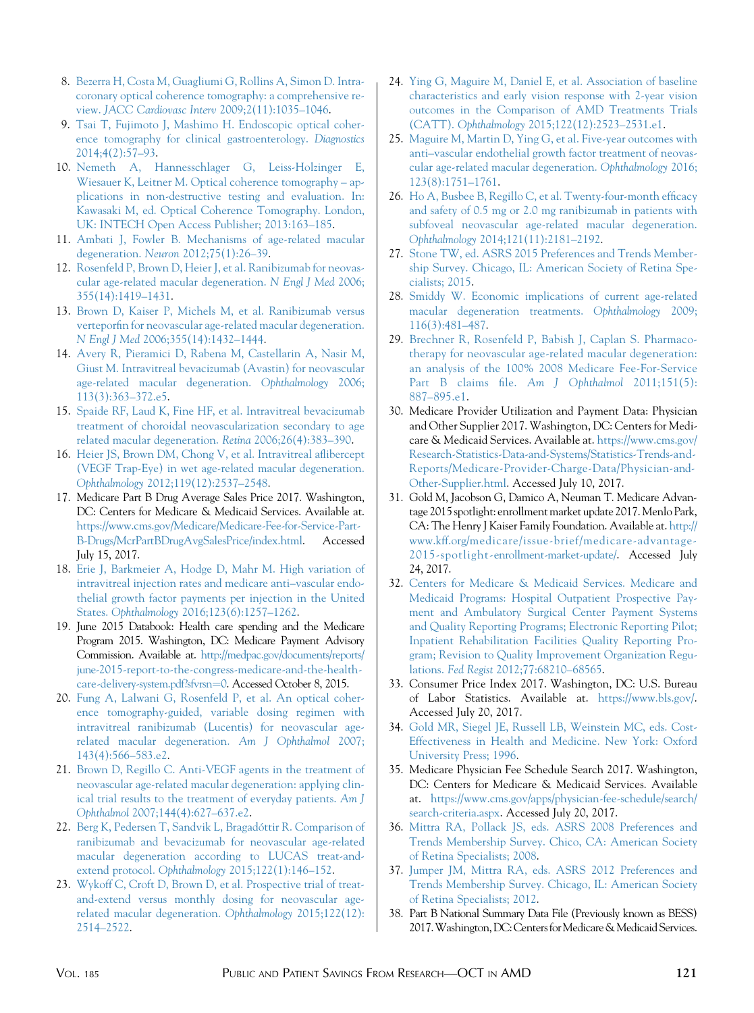- <span id="page-6-0"></span>8. [Bezerra H, Costa M, Guagliumi G, Rollins A, Simon D. Intra](http://refhub.elsevier.com/S0002-9394(17)30419-1/sref8)[coronary optical coherence tomography: a comprehensive re](http://refhub.elsevier.com/S0002-9394(17)30419-1/sref8)view. [JACC Cardiovasc Interv](http://refhub.elsevier.com/S0002-9394(17)30419-1/sref8) 2009;2(11):1035–1046.
- 9. [Tsai T, Fujimoto J, Mashimo H. Endoscopic optical coher](http://refhub.elsevier.com/S0002-9394(17)30419-1/sref9)[ence tomography for clinical gastroenterology.](http://refhub.elsevier.com/S0002-9394(17)30419-1/sref9) Diagnostics [2014;4\(2\):57–93.](http://refhub.elsevier.com/S0002-9394(17)30419-1/sref9)
- 10. [Nemeth A, Hannesschlager G, Leiss-Holzinger E,](http://refhub.elsevier.com/S0002-9394(17)30419-1/sref10) [Wiesauer K, Leitner M. Optical coherence tomography – ap](http://refhub.elsevier.com/S0002-9394(17)30419-1/sref10)[plications in non-destructive testing and evaluation. In:](http://refhub.elsevier.com/S0002-9394(17)30419-1/sref10) [Kawasaki M, ed. Optical Coherence Tomography. London,](http://refhub.elsevier.com/S0002-9394(17)30419-1/sref10) [UK: INTECH Open Access Publisher; 2013:163–185.](http://refhub.elsevier.com/S0002-9394(17)30419-1/sref10)
- 11. [Ambati J, Fowler B. Mechanisms of age-related macular](http://refhub.elsevier.com/S0002-9394(17)30419-1/sref11) degeneration. Neuron [2012;75\(1\):26–39.](http://refhub.elsevier.com/S0002-9394(17)30419-1/sref11)
- 12. [Rosenfeld P, Brown D, Heier J, et al. Ranibizumab for neovas](http://refhub.elsevier.com/S0002-9394(17)30419-1/sref12)[cular age-related macular degeneration.](http://refhub.elsevier.com/S0002-9394(17)30419-1/sref12) N Engl J Med 2006; [355\(14\):1419–1431.](http://refhub.elsevier.com/S0002-9394(17)30419-1/sref12)
- 13. [Brown D, Kaiser P, Michels M, et al. Ranibizumab versus](http://refhub.elsevier.com/S0002-9394(17)30419-1/sref13) [verteporfin for neovascular age-related macular degeneration.](http://refhub.elsevier.com/S0002-9394(17)30419-1/sref13) N Engl J Med [2006;355\(14\):1432–1444.](http://refhub.elsevier.com/S0002-9394(17)30419-1/sref13)
- 14. [Avery R, Pieramici D, Rabena M, Castellarin A, Nasir M,](http://refhub.elsevier.com/S0002-9394(17)30419-1/sref14) [Giust M. Intravitreal bevacizumab \(Avastin\) for neovascular](http://refhub.elsevier.com/S0002-9394(17)30419-1/sref14) [age-related macular degeneration.](http://refhub.elsevier.com/S0002-9394(17)30419-1/sref14) Ophthalmology 2006; [113\(3\):363–372.e5.](http://refhub.elsevier.com/S0002-9394(17)30419-1/sref14)
- 15. [Spaide RF, Laud K, Fine HF, et al. Intravitreal bevacizumab](http://refhub.elsevier.com/S0002-9394(17)30419-1/sref15) [treatment of choroidal neovascularization secondary to age](http://refhub.elsevier.com/S0002-9394(17)30419-1/sref15) [related macular degeneration.](http://refhub.elsevier.com/S0002-9394(17)30419-1/sref15) Retina 2006;26(4):383–390.
- 16. [Heier JS, Brown DM, Chong V, et al. Intravitreal aflibercept](http://refhub.elsevier.com/S0002-9394(17)30419-1/sref16) [\(VEGF Trap-Eye\) in wet age-related macular degeneration.](http://refhub.elsevier.com/S0002-9394(17)30419-1/sref16) Ophthalmology [2012;119\(12\):2537–2548.](http://refhub.elsevier.com/S0002-9394(17)30419-1/sref16)
- 17. Medicare Part B Drug Average Sales Price 2017. Washington, DC: Centers for Medicare & Medicaid Services. Available at. [https://www.cms.gov/Medicare/Medicare-Fee-for-Service-Part-](https://www.cms.gov/Medicare/Medicare-Fee-for-Service-Part-B-Drugs/McrPartBDrugAvgSalesPrice/index.html)[B-Drugs/McrPartBDrugAvgSalesPrice/index.html](https://www.cms.gov/Medicare/Medicare-Fee-for-Service-Part-B-Drugs/McrPartBDrugAvgSalesPrice/index.html). Accessed July 15, 2017.
- 18. [Erie J, Barkmeier A, Hodge D, Mahr M. High variation of](http://refhub.elsevier.com/S0002-9394(17)30419-1/sref18) [intravitreal injection rates and medicare anti–vascular endo](http://refhub.elsevier.com/S0002-9394(17)30419-1/sref18)[thelial growth factor payments per injection in the United](http://refhub.elsevier.com/S0002-9394(17)30419-1/sref18) States. Ophthalmology [2016;123\(6\):1257–1262.](http://refhub.elsevier.com/S0002-9394(17)30419-1/sref18)
- 19. June 2015 Databook: Health care spending and the Medicare Program 2015. Washington, DC: Medicare Payment Advisory Commission. Available at. [http://medpac.gov/documents/reports/](http://medpac.gov/documents/reports/june-2015-report-to-the-congress-medicare-and-the-health-care-delivery-system.pdf?sfvrsn=0) [june-2015-report-to-the-congress-medicare-and-the-health](http://medpac.gov/documents/reports/june-2015-report-to-the-congress-medicare-and-the-health-care-delivery-system.pdf?sfvrsn=0)[care-delivery-system.pdf?sfvrsn](http://medpac.gov/documents/reports/june-2015-report-to-the-congress-medicare-and-the-health-care-delivery-system.pdf?sfvrsn=0)=[0](http://medpac.gov/documents/reports/june-2015-report-to-the-congress-medicare-and-the-health-care-delivery-system.pdf?sfvrsn=0). Accessed October 8, 2015.
- 20. [Fung A, Lalwani G, Rosenfeld P, et al. An optical coher](http://refhub.elsevier.com/S0002-9394(17)30419-1/sref20)[ence tomography-guided, variable dosing regimen with](http://refhub.elsevier.com/S0002-9394(17)30419-1/sref20) [intravitreal ranibizumab \(Lucentis\) for neovascular age](http://refhub.elsevier.com/S0002-9394(17)30419-1/sref20)[related macular degeneration.](http://refhub.elsevier.com/S0002-9394(17)30419-1/sref20) Am J Ophthalmol 2007; [143\(4\):566–583.e2.](http://refhub.elsevier.com/S0002-9394(17)30419-1/sref20)
- 21. [Brown D, Regillo C. Anti-VEGF agents in the treatment of](http://refhub.elsevier.com/S0002-9394(17)30419-1/sref21) [neovascular age-related macular degeneration: applying clin](http://refhub.elsevier.com/S0002-9394(17)30419-1/sref21)[ical trial results to the treatment of everyday patients.](http://refhub.elsevier.com/S0002-9394(17)30419-1/sref21) Am J Ophthalmol [2007;144\(4\):627–637.e2](http://refhub.elsevier.com/S0002-9394(17)30419-1/sref21).
- 22. Berg K, Pedersen T, Sandvik L, Bragadóttir R. Comparison of [ranibizumab and bevacizumab for neovascular age-related](http://refhub.elsevier.com/S0002-9394(17)30419-1/sref22) [macular degeneration according to LUCAS treat-and](http://refhub.elsevier.com/S0002-9394(17)30419-1/sref22)extend protocol. Ophthalmology 2015;122(1):146-152.
- 23. [Wykoff C, Croft D, Brown D, et al. Prospective trial of treat](http://refhub.elsevier.com/S0002-9394(17)30419-1/sref23)[and-extend versus monthly dosing for neovascular age](http://refhub.elsevier.com/S0002-9394(17)30419-1/sref23)[related macular degeneration.](http://refhub.elsevier.com/S0002-9394(17)30419-1/sref23) Ophthalmology 2015;122(12): [2514–2522.](http://refhub.elsevier.com/S0002-9394(17)30419-1/sref23)
- 24. [Ying G, Maguire M, Daniel E, et al. Association of baseline](http://refhub.elsevier.com/S0002-9394(17)30419-1/sref24) [characteristics and early vision response with 2-year vision](http://refhub.elsevier.com/S0002-9394(17)30419-1/sref24) [outcomes in the Comparison of AMD Treatments Trials](http://refhub.elsevier.com/S0002-9394(17)30419-1/sref24) (CATT). Ophthalmology [2015;122\(12\):2523–2531.e1.](http://refhub.elsevier.com/S0002-9394(17)30419-1/sref24)
- 25. [Maguire M, Martin D, Ying G, et al. Five-year outcomes with](http://refhub.elsevier.com/S0002-9394(17)30419-1/sref25) [anti–vascular endothelial growth factor treatment of neovas](http://refhub.elsevier.com/S0002-9394(17)30419-1/sref25)[cular age-related macular degeneration.](http://refhub.elsevier.com/S0002-9394(17)30419-1/sref25) Ophthalmology 2016; [123\(8\):1751–1761](http://refhub.elsevier.com/S0002-9394(17)30419-1/sref25).
- 26. [Ho A, Busbee B, Regillo C, et al. Twenty-four-month efficacy](http://refhub.elsevier.com/S0002-9394(17)30419-1/sref26) [and safety of 0.5 mg or 2.0 mg ranibizumab in patients with](http://refhub.elsevier.com/S0002-9394(17)30419-1/sref26) [subfoveal neovascular age-related macular degeneration.](http://refhub.elsevier.com/S0002-9394(17)30419-1/sref26) Ophthalmology [2014;121\(11\):2181–2192.](http://refhub.elsevier.com/S0002-9394(17)30419-1/sref26)
- 27. [Stone TW, ed. ASRS 2015 Preferences and Trends Member](http://refhub.elsevier.com/S0002-9394(17)30419-1/sref27)[ship Survey. Chicago, IL: American Society of Retina Spe](http://refhub.elsevier.com/S0002-9394(17)30419-1/sref27)[cialists; 2015](http://refhub.elsevier.com/S0002-9394(17)30419-1/sref27).
- 28. [Smiddy W. Economic implications of current age-related](http://refhub.elsevier.com/S0002-9394(17)30419-1/sref28) [macular degeneration treatments.](http://refhub.elsevier.com/S0002-9394(17)30419-1/sref28) Ophthalmology 2009; [116\(3\):481–487](http://refhub.elsevier.com/S0002-9394(17)30419-1/sref28).
- 29. [Brechner R, Rosenfeld P, Babish J, Caplan S. Pharmaco](http://refhub.elsevier.com/S0002-9394(17)30419-1/sref29)[therapy for neovascular age-related macular degeneration:](http://refhub.elsevier.com/S0002-9394(17)30419-1/sref29) [an analysis of the 100% 2008 Medicare Fee-For-Service](http://refhub.elsevier.com/S0002-9394(17)30419-1/sref29) [Part B claims file.](http://refhub.elsevier.com/S0002-9394(17)30419-1/sref29) Am J Ophthalmol 2011;151(5): [887–895.e1.](http://refhub.elsevier.com/S0002-9394(17)30419-1/sref29)
- 30. Medicare Provider Utilization and Payment Data: Physician and Other Supplier 2017. Washington, DC: Centers for Medicare & Medicaid Services. Available at. [https://www.cms.gov/](https://www.cms.gov/Research-Statistics-Data-and-Systems/Statistics-Trends-and-Reports/Medicare-Provider-Charge-Data/Physician-and-Other-Supplier.html) [Research-Statistics-Data-and-Systems/Statistics-Trends-and-](https://www.cms.gov/Research-Statistics-Data-and-Systems/Statistics-Trends-and-Reports/Medicare-Provider-Charge-Data/Physician-and-Other-Supplier.html)[Reports/Medicare-Provider-Charge-Data/Physician-and-](https://www.cms.gov/Research-Statistics-Data-and-Systems/Statistics-Trends-and-Reports/Medicare-Provider-Charge-Data/Physician-and-Other-Supplier.html)[Other-Supplier.html](https://www.cms.gov/Research-Statistics-Data-and-Systems/Statistics-Trends-and-Reports/Medicare-Provider-Charge-Data/Physician-and-Other-Supplier.html). Accessed July 10, 2017.
- 31. Gold M, Jacobson G, Damico A, Neuman T. Medicare Advantage 2015 spotlight: enrollment market update 2017. Menlo Park, CA: The Henry J Kaiser Family Foundation. Available at. [http://](http://www.kff.org/medicare/issue-brief/medicare-advantage-2015-spotlight-enrollment-market-update/) [www.kff.org/medicare/issue-brief/medicare-advantage-](http://www.kff.org/medicare/issue-brief/medicare-advantage-2015-spotlight-enrollment-market-update/)[2015-spotlight-enrollment-market-update/](http://www.kff.org/medicare/issue-brief/medicare-advantage-2015-spotlight-enrollment-market-update/). Accessed July 24, 2017.
- 32. [Centers for Medicare & Medicaid Services. Medicare and](http://refhub.elsevier.com/S0002-9394(17)30419-1/sref32) [Medicaid Programs: Hospital Outpatient Prospective Pay](http://refhub.elsevier.com/S0002-9394(17)30419-1/sref32)[ment and Ambulatory Surgical Center Payment Systems](http://refhub.elsevier.com/S0002-9394(17)30419-1/sref32) [and Quality Reporting Programs; Electronic Reporting Pilot;](http://refhub.elsevier.com/S0002-9394(17)30419-1/sref32) [Inpatient Rehabilitation Facilities Quality Reporting Pro](http://refhub.elsevier.com/S0002-9394(17)30419-1/sref32)[gram; Revision to Quality Improvement Organization Regu](http://refhub.elsevier.com/S0002-9394(17)30419-1/sref32)lations. Fed Regist [2012;77:68210–68565](http://refhub.elsevier.com/S0002-9394(17)30419-1/sref32).
- 33. Consumer Price Index 2017. Washington, DC: U.S. Bureau of Labor Statistics. Available at. [https://www.bls.gov/.](https://www.bls.gov/) Accessed July 20, 2017.
- 34. [Gold MR, Siegel JE, Russell LB, Weinstein MC, eds. Cost-](http://refhub.elsevier.com/S0002-9394(17)30419-1/sref34)[Effectiveness in Health and Medicine. New York: Oxford](http://refhub.elsevier.com/S0002-9394(17)30419-1/sref34) [University Press; 1996.](http://refhub.elsevier.com/S0002-9394(17)30419-1/sref34)
- 35. Medicare Physician Fee Schedule Search 2017. Washington, DC: Centers for Medicare & Medicaid Services. Available at. [https://www.cms.gov/apps/physician-fee-schedule/search/](https://www.cms.gov/apps/physician-fee-schedule/search/search-criteria.aspx) [search-criteria.aspx](https://www.cms.gov/apps/physician-fee-schedule/search/search-criteria.aspx). Accessed July 20, 2017.
- 36. [Mittra RA, Pollack JS, eds. ASRS 2008 Preferences and](http://refhub.elsevier.com/S0002-9394(17)30419-1/sref36) [Trends Membership Survey. Chico, CA: American Society](http://refhub.elsevier.com/S0002-9394(17)30419-1/sref36) [of Retina Specialists; 2008](http://refhub.elsevier.com/S0002-9394(17)30419-1/sref36).
- 37. [Jumper JM, Mittra RA, eds. ASRS 2012 Preferences and](http://refhub.elsevier.com/S0002-9394(17)30419-1/sref37) [Trends Membership Survey. Chicago, IL: American Society](http://refhub.elsevier.com/S0002-9394(17)30419-1/sref37) [of Retina Specialists; 2012](http://refhub.elsevier.com/S0002-9394(17)30419-1/sref37).
- 38. Part B National Summary Data File (Previously known as BESS) 2017. Washington, DC: Centers for Medicare & Medicaid Services.